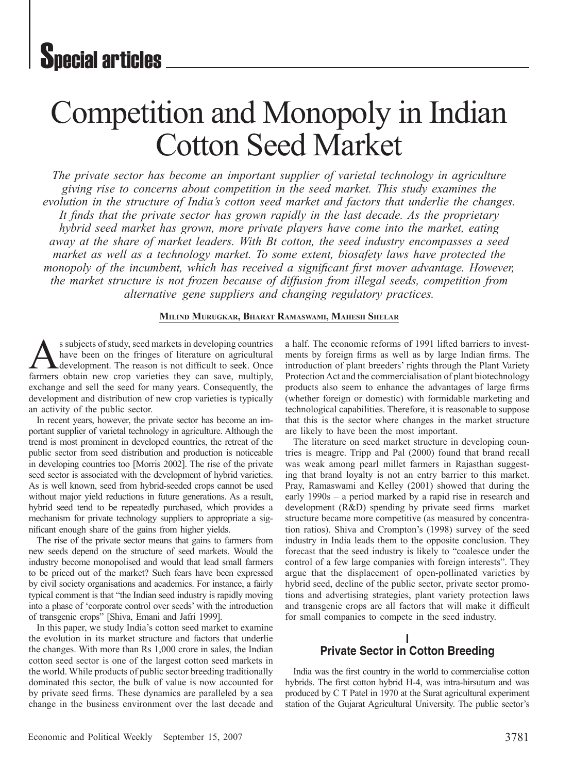# Competition and Monopoly in Indian Cotton Seed Market

*The private sector has become an important supplier of varietal technology in agriculture giving rise to concerns about competition in the seed market. This study examines the evolution in the structure of India's cotton seed market and factors that underlie the changes. It finds that the private sector has grown rapidly in the last decade. As the proprietary hybrid seed market has grown, more private players have come into the market, eating away at the share of market leaders. With Bt cotton, the seed industry encompasses a seed market as well as a technology market. To some extent, biosafety laws have protected the monopoly of the incumbent, which has received a significant first mover advantage. However, the market structure is not frozen because of diffusion from illegal seeds, competition from alternative gene suppliers and changing regulatory practices.* 

#### **Milind Murugkar, Bharat Ramaswami, Mahesh Shelar**

s subjects of study, seed markets in developing countries have been on the fringes of literature on agricultural **A** development. The reason is not difficult to seek. Once farmers obtain new crop varieties they can save, multiply, exchange and sell the seed for many years. Consequently, the development and distribution of new crop varieties is typically an activity of the public sector.

In recent years, however, the private sector has become an important supplier of varietal technology in agriculture. Although the trend is most prominent in developed countries, the retreat of the public sector from seed distribution and production is noticeable in developing countries too [Morris 2002]. The rise of the private seed sector is associated with the development of hybrid varieties. As is well known, seed from hybrid-seeded crops cannot be used without major yield reductions in future generations. As a result, hybrid seed tend to be repeatedly purchased, which provides a mechanism for private technology suppliers to appropriate a significant enough share of the gains from higher yields.

The rise of the private sector means that gains to farmers from new seeds depend on the structure of seed markets. Would the industry become monopolised and would that lead small farmers to be priced out of the market? Such fears have been expressed by civil society organisations and academics. For instance, a fairly typical comment is that "the Indian seed industry is rapidly moving into a phase of 'corporate control over seeds' with the introduction of transgenic crops" [Shiva, Emani and Jafri 1999].

In this paper, we study India's cotton seed market to examine the evolution in its market structure and factors that underlie the changes. With more than Rs 1,000 crore in sales, the Indian cotton seed sector is one of the largest cotton seed markets in the world. While products of public sector breeding traditionally dominated this sector, the bulk of value is now accounted for by private seed firms. These dynamics are paralleled by a sea change in the business environment over the last decade and

a half. The economic reforms of 1991 lifted barriers to investments by foreign firms as well as by large Indian firms. The introduction of plant breeders' rights through the Plant Variety Protection Act and the commercialisation of plant biotechnology products also seem to enhance the advantages of large firms (whether foreign or domestic) with formidable marketing and technological capabilities. Therefore, it is reasonable to suppose that this is the sector where changes in the market structure are likely to have been the most important.

The literature on seed market structure in developing countries is meagre. Tripp and Pal (2000) found that brand recall was weak among pearl millet farmers in Rajasthan suggesting that brand loyalty is not an entry barrier to this market. Pray, Ramaswami and Kelley (2001) showed that during the early 1990s – a period marked by a rapid rise in research and development (R&D) spending by private seed firms –market structure became more competitive (as measured by concentration ratios). Shiva and Crompton's (1998) survey of the seed industry in India leads them to the opposite conclusion. They forecast that the seed industry is likely to "coalesce under the control of a few large companies with foreign interests". They argue that the displacement of open-pollinated varieties by hybrid seed, decline of the public sector, private sector promotions and advertising strategies, plant variety protection laws and transgenic crops are all factors that will make it difficult for small companies to compete in the seed industry.

## **I Private Sector in Cotton Breeding**

India was the first country in the world to commercialise cotton hybrids. The first cotton hybrid H-4, was intra-hirsutum and was produced by C T Patel in 1970 at the Surat agricultural experiment station of the Gujarat Agricultural University. The public sector's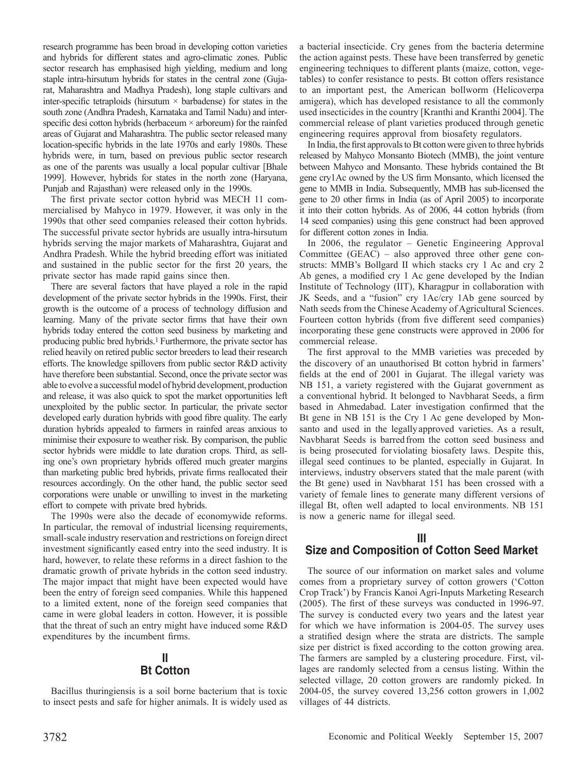research programme has been broad in developing cotton varieties and hybrids for different states and agro-climatic zones. Public sector research has emphasised high yielding, medium and long staple intra-hirsutum hybrids for states in the central zone (Gujarat, Maharashtra and Madhya Pradesh), long staple cultivars and inter-specific tetraploids (hirsutum  $\times$  barbadense) for states in the south zone (Andhra Pradesh, Karnataka and Tamil Nadu) and interspecific desi cotton hybrids (herbaceum  $\times$  arboreum) for the rainfed areas of Gujarat and Maharashtra. The public sector released many location-specific hybrids in the late 1970s and early 1980s. These hybrids were, in turn, based on previous public sector research as one of the parents was usually a local popular cultivar [Bhale 1999]. However, hybrids for states in the north zone (Haryana, Punjab and Rajasthan) were released only in the 1990s.

The first private sector cotton hybrid was MECH 11 commercialised by Mahyco in 1979. However, it was only in the 1990s that other seed companies released their cotton hybrids. The successful private sector hybrids are usually intra-hirsutum hybrids serving the major markets of Maharashtra, Gujarat and Andhra Pradesh. While the hybrid breeding effort was initiated and sustained in the public sector for the first 20 years, the private sector has made rapid gains since then.

There are several factors that have played a role in the rapid development of the private sector hybrids in the 1990s. First, their growth is the outcome of a process of technology diffusion and learning. Many of the private sector firms that have their own hybrids today entered the cotton seed business by marketing and producing public bred hybrids.1 Furthermore, the private sector has relied heavily on retired public sector breeders to lead their research efforts. The knowledge spillovers from public sector R&D activity have therefore been substantial. Second, once the private sector was able to evolve a successful model of hybrid development, production and release, it was also quick to spot the market opportunities left unexploited by the public sector. In particular, the private sector developed early duration hybrids with good fibre quality. The early duration hybrids appealed to farmers in rainfed areas anxious to minimise their exposure to weather risk. By comparison, the public sector hybrids were middle to late duration crops. Third, as selling one's own proprietary hybrids offered much greater margins than marketing public bred hybrids, private firms reallocated their resources accordingly. On the other hand, the public sector seed corporations were unable or unwilling to invest in the marketing effort to compete with private bred hybrids.

The 1990s were also the decade of economywide reforms. In particular, the removal of industrial licensing requirements, small-scale industry reservation and restrictions on foreign direct investment significantly eased entry into the seed industry. It is hard, however, to relate these reforms in a direct fashion to the dramatic growth of private hybrids in the cotton seed industry. The major impact that might have been expected would have been the entry of foreign seed companies. While this happened to a limited extent, none of the foreign seed companies that came in were global leaders in cotton. However, it is possible that the threat of such an entry might have induced some R&D expenditures by the incumbent firms.

# **II Bt Cotton**

Bacillus thuringiensis is a soil borne bacterium that is toxic to insect pests and safe for higher animals. It is widely used as a bacterial insecticide. Cry genes from the bacteria determine the action against pests. These have been transferred by genetic engineering techniques to different plants (maize, cotton, vegetables) to confer resistance to pests. Bt cotton offers resistance to an important pest, the American bollworm (Helicoverpa amigera), which has developed resistance to all the commonly used insecticides in the country [Kranthi and Kranthi 2004]. The commercial release of plant varieties produced through genetic engineering requires approval from biosafety regulators.

In India, the first approvals to Bt cotton were given to three hybrids released by Mahyco Monsanto Biotech (MMB), the joint venture between Mahyco and Monsanto. These hybrids contained the Bt gene cry1Ac owned by the US firm Monsanto, which licensed the gene to MMB in India. Subsequently, MMB has sub-licensed the gene to 20 other firms in India (as of April 2005) to incorporate it into their cotton hybrids. As of 2006, 44 cotton hybrids (from 14 seed companies) using this gene construct had been approved for different cotton zones in India.

In 2006, the regulator – Genetic Engineering Approval Committee (GEAC) – also approved three other gene constructs: MMB's Bollgard II which stacks cry 1 Ac and cry 2 Ab genes, a modified cry 1 Ac gene developed by the Indian Institute of Technology (IIT), Kharagpur in collaboration with JK Seeds, and a "fusion" cry 1Ac/cry 1Ab gene sourced by Nath seeds from the Chinese Academy of Agricultural Sciences. Fourteen cotton hybrids (from five different seed companies) incorporating these gene constructs were approved in 2006 for commercial release.

The first approval to the MMB varieties was preceded by the discovery of an unauthorised Bt cotton hybrid in farmers' fields at the end of 2001 in Gujarat. The illegal variety was NB 151, a variety registered with the Gujarat government as a conventional hybrid. It belonged to Navbharat Seeds, a firm based in Ahmedabad. Later investigation confirmed that the Bt gene in NB 151 is the Cry 1 Ac gene developed by Monsanto and used in the legallyapproved varieties. As a result, Navbharat Seeds is barred from the cotton seed business and is being prosecuted forviolating biosafety laws. Despite this, illegal seed continues to be planted, especially in Gujarat. In interviews, industry observers stated that the male parent (with the Bt gene) used in Navbharat 151 has been crossed with a variety of female lines to generate many different versions of illegal Bt, often well adapted to local environments. NB 151 is now a generic name for illegal seed.

# **III**

# **Size and Composition of Cotton Seed Market**

The source of our information on market sales and volume comes from a proprietary survey of cotton growers ('Cotton Crop Track') by Francis Kanoi Agri-Inputs Marketing Research (2005). The first of these surveys was conducted in 1996-97. The survey is conducted every two years and the latest year for which we have information is 2004-05. The survey uses a stratified design where the strata are districts. The sample size per district is fixed according to the cotton growing area. The farmers are sampled by a clustering procedure. First, villages are randomly selected from a census listing. Within the selected village, 20 cotton growers are randomly picked. In 2004-05, the survey covered 13,256 cotton growers in 1,002 villages of 44 districts.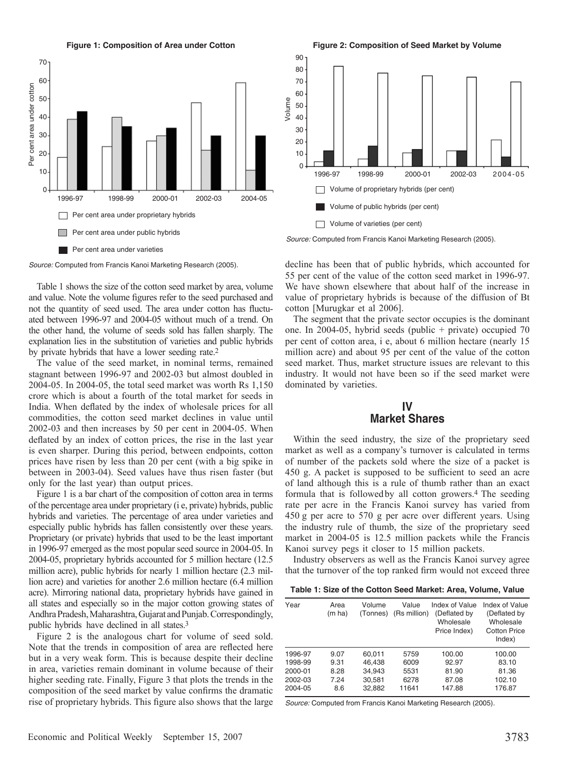**Figure 1: Composition of Area under Cotton** 



Table 1 shows the size of the cotton seed market by area, volume and value. Note the volume figures refer to the seed purchased and not the quantity of seed used. The area under cotton has fluctuated between 1996-97 and 2004-05 without much of a trend. On the other hand, the volume of seeds sold has fallen sharply. The explanation lies in the substitution of varieties and public hybrids by private hybrids that have a lower seeding rate.2

The value of the seed market, in nominal terms, remained stagnant between 1996-97 and 2002-03 but almost doubled in 2004-05. In 2004-05, the total seed market was worth Rs 1,150 crore which is about a fourth of the total market for seeds in India. When deflated by the index of wholesale prices for all commodities, the cotton seed market declines in value until 2002-03 and then increases by 50 per cent in 2004-05. When deflated by an index of cotton prices, the rise in the last year is even sharper. During this period, between endpoints, cotton prices have risen by less than 20 per cent (with a big spike in between in 2003-04). Seed values have thus risen faster (but only for the last year) than output prices.

Figure 1 is a bar chart of the composition of cotton area in terms of the percentage area under proprietary (i e, private) hybrids, public hybrids and varieties. The percentage of area under varieties and especially public hybrids has fallen consistently over these years. Proprietary (or private) hybrids that used to be the least important in 1996-97 emerged as the most popular seed source in 2004-05. In 2004-05, proprietary hybrids accounted for 5 million hectare (12.5 million acre), public hybrids for nearly 1 million hectare (2.3 million acre) and varieties for another 2.6 million hectare (6.4 million acre). Mirroring national data, proprietary hybrids have gained in all states and especially so in the major cotton growing states of Andhra Pradesh, Maharashtra, Gujarat and Punjab. Correspondingly, public hybrids have declined in all states.3

Figure 2 is the analogous chart for volume of seed sold. Note that the trends in composition of area are reflected here but in a very weak form. This is because despite their decline in area, varieties remain dominant in volume because of their higher seeding rate. Finally, Figure 3 that plots the trends in the composition of the seed market by value confirms the dramatic rise of proprietary hybrids. This figure also shows that the large

**Figure 2: Composition of Seed Market by Volume**



*Source:* Computed from Francis Kanoi Marketing Research (2005).

decline has been that of public hybrids, which accounted for 55 per cent of the value of the cotton seed market in 1996-97. We have shown elsewhere that about half of the increase in value of proprietary hybrids is because of the diffusion of Bt cotton [Murugkar et al 2006].

The segment that the private sector occupies is the dominant one. In 2004-05, hybrid seeds (public + private) occupied 70 per cent of cotton area, i e, about 6 million hectare (nearly 15 million acre) and about 95 per cent of the value of the cotton seed market. Thus, market structure issues are relevant to this industry. It would not have been so if the seed market were dominated by varieties.

# **IV Market Shares**

Within the seed industry, the size of the proprietary seed market as well as a company's turnover is calculated in terms of number of the packets sold where the size of a packet is 450 g. A packet is supposed to be sufficient to seed an acre of land although this is a rule of thumb rather than an exact formula that is followed by all cotton growers.4 The seeding rate per acre in the Francis Kanoi survey has varied from 450  g per acre to 570 g per acre over different years. Using the industry rule of thumb, the size of the proprietary seed market in 2004-05 is 12.5 million packets while the Francis Kanoi survey pegs it closer to 15 million packets.

Industry observers as well as the Francis Kanoi survey agree that the turnover of the top ranked firm would not exceed three

**Table 1: Size of the Cotton Seed Market: Area, Volume, Value** 

| Year    | Area<br>(m ha) | Volume<br>(Tonnes) | Value<br>(Rs million) | Index of Value<br>(Deflated by<br>Wholesale<br>Price Index) | Index of Value<br>(Deflated by<br>Wholesale<br><b>Cotton Price</b><br>Index) |
|---------|----------------|--------------------|-----------------------|-------------------------------------------------------------|------------------------------------------------------------------------------|
| 1996-97 | 9.07           | 60.011             | 5759                  | 100.00                                                      | 100.00                                                                       |
| 1998-99 | 9.31           | 46.438             | 6009                  | 92.97                                                       | 83.10                                                                        |
| 2000-01 | 8.28           | 34.943             | 5531                  | 81.90                                                       | 81.36                                                                        |
| 2002-03 | 7.24           | 30.581             | 6278                  | 87.08                                                       | 102.10                                                                       |
| 2004-05 | 8.6            | 32.882             | 11641                 | 147.88                                                      | 176.87                                                                       |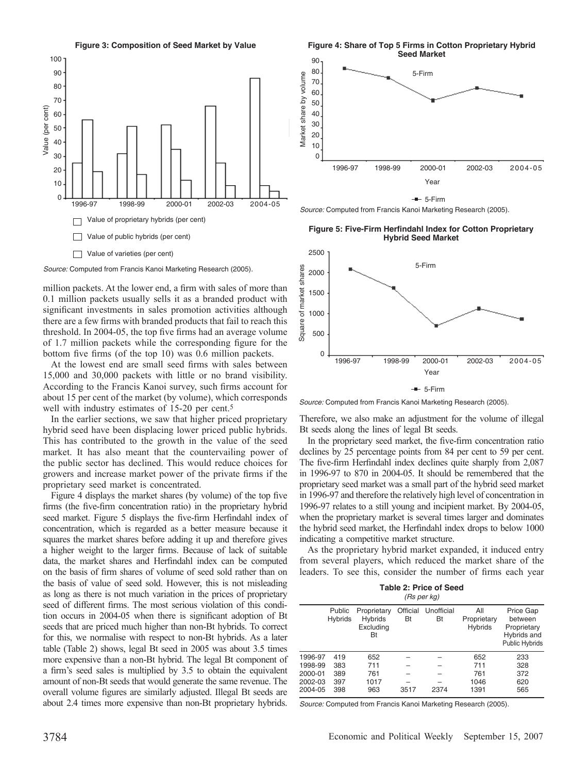

 $90$ 80 70 60 50 40 30 5-Firm **Figure 4: Share of Top 5 Firms in Cotton Proprietary Hybrid Seed Market**

1996-97 1998-99 2000-01 2002-03 2004-05

Year  $-$  5-Firm



20  $1<sub>0</sub>$  $\Omega$ 

Market share by volume

Market share by volume

**Figure 5: Five-Firm Herfindahl Index for Cotton Proprietary Hybrid Seed Market**

*Source:* Computed from Francis Kanoi Marketing Research (2005).

million packets. At the lower end, a firm with sales of more than 0.1 million packets usually sells it as a branded product with significant investments in sales promotion activities although there are a few firms with branded products that fail to reach this threshold. In 2004-05, the top five firms had an average volume of 1.7 million packets while the corresponding figure for the bottom five firms (of the top 10) was 0.6 million packets.

At the lowest end are small seed firms with sales between 15,000 and 30,000 packets with little or no brand visibility. According to the Francis Kanoi survey, such firms account for about 15 per cent of the market (by volume), which corresponds well with industry estimates of 15-20 per cent.<sup>5</sup>

In the earlier sections, we saw that higher priced proprietary hybrid seed have been displacing lower priced public hybrids. This has contributed to the growth in the value of the seed market. It has also meant that the countervailing power of the public sector has declined. This would reduce choices for growers and increase market power of the private firms if the proprietary seed market is concentrated.

Figure 4 displays the market shares (by volume) of the top five firms (the five-firm concentration ratio) in the proprietary hybrid seed market. Figure 5 displays the five-firm Herfindahl index of concentration, which is regarded as a better measure because it squares the market shares before adding it up and therefore gives a higher weight to the larger firms. Because of lack of suitable data, the market shares and Herfindahl index can be computed on the basis of firm shares of volume of seed sold rather than on the basis of value of seed sold. However, this is not misleading as long as there is not much variation in the prices of proprietary seed of different firms. The most serious violation of this condition occurs in 2004-05 when there is significant adoption of Bt seeds that are priced much higher than non-Bt hybrids. To correct for this, we normalise with respect to non-Bt hybrids. As a later table (Table 2) shows, legal Bt seed in 2005 was about 3.5 times more expensive than a non-Bt hybrid. The legal Bt component of a firm's seed sales is multiplied by 3.5 to obtain the equivalent amount of non-Bt seeds that would generate the same revenue. The overall volume figures are similarly adjusted. Illegal Bt seeds are about 2.4 times more expensive than non-Bt proprietary hybrids.



*Source:* Computed from Francis Kanoi Marketing Research (2005).

Therefore, we also make an adjustment for the volume of illegal Bt seeds along the lines of legal Bt seeds.

In the proprietary seed market, the five-firm concentration ratio declines by 25 percentage points from 84 per cent to 59 per cent. The five-firm Herfindahl index declines quite sharply from 2,087 in 1996-97 to 870 in 2004-05. It should be remembered that the proprietary seed market was a small part of the hybrid seed market in 1996-97 and therefore the relatively high level of concentration in 1996-97 relates to a still young and incipient market. By 2004-05, when the proprietary market is several times larger and dominates the hybrid seed market, the Herfindahl index drops to below 1000 indicating a competitive market structure.

As the proprietary hybrid market expanded, it induced entry from several players, which reduced the market share of the leaders. To see this, consider the number of firms each year

> **Table 2: Price of Seed** *(Rs per kg)*

|         | Public<br>Hybrids | Proprietary<br>Hybrids<br>Excluding<br>Bt | Official<br>Bt | Unofficial<br>Bt | All<br>Proprietary<br>Hybrids | Price Gap<br>between<br>Proprietary<br>Hybrids and<br>Public Hybrids |
|---------|-------------------|-------------------------------------------|----------------|------------------|-------------------------------|----------------------------------------------------------------------|
| 1996-97 | 419               | 652                                       |                |                  | 652                           | 233                                                                  |
| 1998-99 | 383               | 711                                       |                |                  | 711                           | 328                                                                  |
| 2000-01 | 389               | 761                                       |                |                  | 761                           | 372                                                                  |
| 2002-03 | 397               | 1017                                      |                |                  | 1046                          | 620                                                                  |
| 2004-05 | 398               | 963                                       | 3517           | 2374             | 1391                          | 565                                                                  |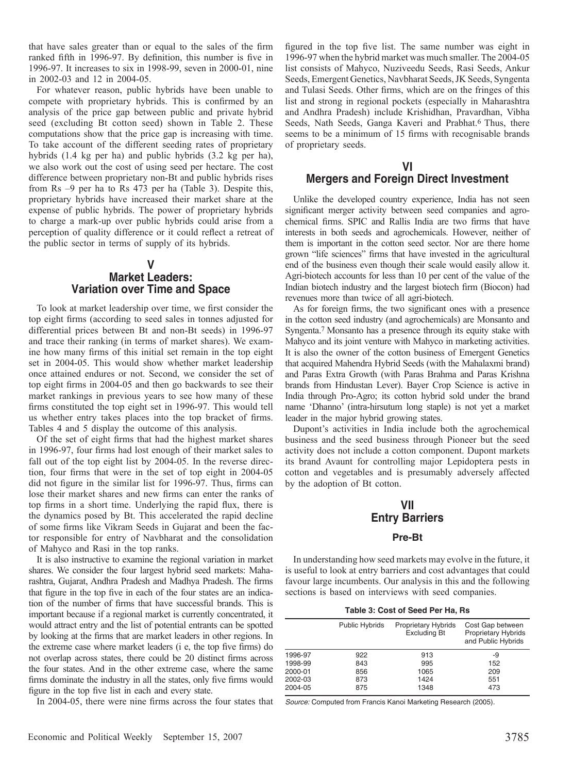that have sales greater than or equal to the sales of the firm ranked fifth in 1996-97. By definition, this number is five in 1996-97. It increases to six in 1998-99, seven in 2000-01, nine in 2002-03 and 12 in 2004-05.

For whatever reason, public hybrids have been unable to compete with proprietary hybrids. This is confirmed by an analysis of the price gap between public and private hybrid seed (excluding Bt cotton seed) shown in Table 2. These computations show that the price gap is increasing with time. To take account of the different seeding rates of proprietary hybrids (1.4 kg per ha) and public hybrids (3.2 kg per ha), we also work out the cost of using seed per hectare. The cost difference between proprietary non-Bt and public hybrids rises from Rs –9 per ha to Rs 473 per ha (Table 3). Despite this, proprietary hybrids have increased their market share at the expense of public hybrids. The power of proprietary hybrids to charge a mark-up over public hybrids could arise from a perception of quality difference or it could reflect a retreat of the public sector in terms of supply of its hybrids.

## **V Market Leaders: Variation over Time and Space**

To look at market leadership over time, we first consider the top eight firms (according to seed sales in tonnes adjusted for differential prices between Bt and non-Bt seeds) in 1996-97 and trace their ranking (in terms of market shares). We examine how many firms of this initial set remain in the top eight set in 2004-05. This would show whether market leadership once attained endures or not. Second, we consider the set of top eight firms in 2004-05 and then go backwards to see their market rankings in previous years to see how many of these firms constituted the top eight set in 1996-97. This would tell us whether entry takes places into the top bracket of firms. Tables 4 and 5 display the outcome of this analysis.

Of the set of eight firms that had the highest market shares in 1996-97, four firms had lost enough of their market sales to fall out of the top eight list by 2004-05. In the reverse direction, four firms that were in the set of top eight in 2004-05 did not figure in the similar list for 1996-97. Thus, firms can lose their market shares and new firms can enter the ranks of top firms in a short time. Underlying the rapid flux, there is the dynamics posed by Bt. This accelerated the rapid decline of some firms like Vikram Seeds in Gujarat and been the factor responsible for entry of Navbharat and the consolidation of Mahyco and Rasi in the top ranks.

It is also instructive to examine the regional variation in market shares. We consider the four largest hybrid seed markets: Maharashtra, Gujarat, Andhra Pradesh and Madhya Pradesh. The firms that figure in the top five in each of the four states are an indication of the number of firms that have successful brands. This is important because if a regional market is currently concentrated, it would attract entry and the list of potential entrants can be spotted by looking at the firms that are market leaders in other regions. In the extreme case where market leaders (i e, the top five firms) do not overlap across states, there could be 20 distinct firms across the four states. And in the other extreme case, where the same firms dominate the industry in all the states, only five firms would figure in the top five list in each and every state.

In 2004-05, there were nine firms across the four states that

figured in the top five list. The same number was eight in 1996-97 when the hybrid market was much smaller. The 2004-05 list consists of Mahyco, Nuziveedu Seeds, Rasi Seeds, Ankur Seeds, Emergent Genetics, Navbharat Seeds, JK Seeds, Syngenta and Tulasi Seeds. Other firms, which are on the fringes of this list and strong in regional pockets (especially in Maharashtra and Andhra Pradesh) include Krishidhan, Pravardhan, Vibha Seeds, Nath Seeds, Ganga Kaveri and Prabhat.<sup>6</sup> Thus, there seems to be a minimum of 15 firms with recognisable brands of proprietary seeds.

## **VI Mergers and Foreign Direct Investment**

Unlike the developed country experience, India has not seen significant merger activity between seed companies and agrochemical firms. SPIC and Rallis India are two firms that have interests in both seeds and agrochemicals. However, neither of them is important in the cotton seed sector. Nor are there home grown "life sciences" firms that have invested in the agricultural end of the business even though their scale would easily allow it. Agri-biotech accounts for less than 10 per cent of the value of the Indian biotech industry and the largest biotech firm (Biocon) had revenues more than twice of all agri-biotech.

As for foreign firms, the two significant ones with a presence in the cotton seed industry (and agrochemicals) are Monsanto and Syngenta.7 Monsanto has a presence through its equity stake with Mahyco and its joint venture with Mahyco in marketing activities. It is also the owner of the cotton business of Emergent Genetics that acquired Mahendra Hybrid Seeds (with the Mahalaxmi brand) and Paras Extra Growth (with Paras Brahma and Paras Krishna brands from Hindustan Lever). Bayer Crop Science is active in India through Pro-Agro; its cotton hybrid sold under the brand name 'Dhanno' (intra-hirsutum long staple) is not yet a market leader in the major hybrid growing states.

Dupont's activities in India include both the agrochemical business and the seed business through Pioneer but the seed activity does not include a cotton component. Dupont markets its brand Avaunt for controlling major Lepidoptera pests in cotton and vegetables and is presumably adversely affected by the adoption of Bt cotton.

# **VII Entry Barriers**

### **Pre-Bt**

In understanding how seed markets may evolve in the future, it is useful to look at entry barriers and cost advantages that could favour large incumbents. Our analysis in this and the following sections is based on interviews with seed companies.

| Table 3: Cost of Seed Per Ha, Rs |  |  |  |  |  |
|----------------------------------|--|--|--|--|--|
|----------------------------------|--|--|--|--|--|

|         | Public Hybrids | Proprietary Hybrids<br><b>Excluding Bt</b> | Cost Gap between<br>Proprietary Hybrids<br>and Public Hybrids |
|---------|----------------|--------------------------------------------|---------------------------------------------------------------|
| 1996-97 | 922            | 913                                        | -9                                                            |
| 1998-99 | 843            | 995                                        | 152                                                           |
| 2000-01 | 856            | 1065                                       | 209                                                           |
| 2002-03 | 873            | 1424                                       | 551                                                           |
| 2004-05 | 875            | 1348                                       | 473                                                           |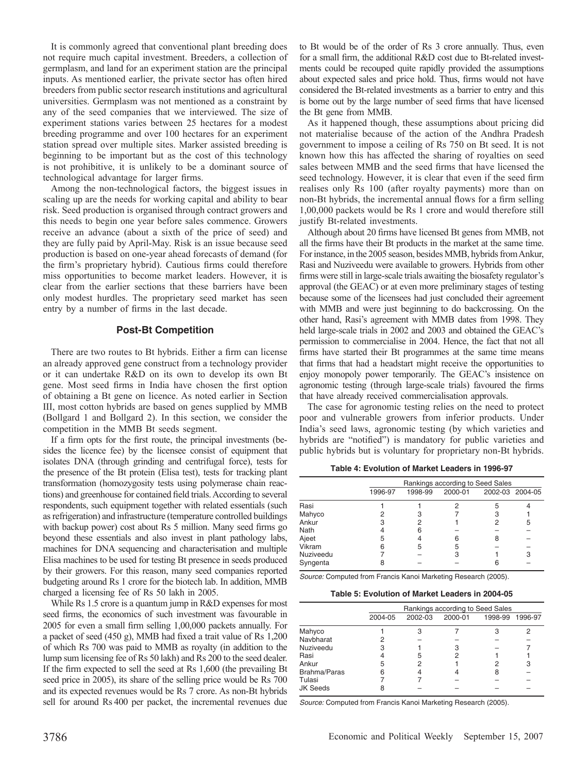It is commonly agreed that conventional plant breeding does not require much capital investment. Breeders, a collection of germplasm, and land for an experiment station are the principal inputs. As mentioned earlier, the private sector has often hired breeders from public sector research institutions and agricultural universities. Germplasm was not mentioned as a constraint by any of the seed companies that we interviewed. The size of experiment stations varies between 25 hectares for a modest breeding programme and over 100 hectares for an experiment station spread over multiple sites. Marker assisted breeding is beginning to be important but as the cost of this technology is not prohibitive, it is unlikely to be a dominant source of technological advantage for larger firms.

Among the non-technological factors, the biggest issues in scaling up are the needs for working capital and ability to bear risk. Seed production is organised through contract growers and this needs to begin one year before sales commence. Growers receive an advance (about a sixth of the price of seed) and they are fully paid by April-May. Risk is an issue because seed production is based on one-year ahead forecasts of demand (for the firm's proprietary hybrid). Cautious firms could therefore miss opportunities to become market leaders. However, it is clear from the earlier sections that these barriers have been only modest hurdles. The proprietary seed market has seen entry by a number of firms in the last decade.

#### **Post-Bt Competition**

There are two routes to Bt hybrids. Either a firm can license an already approved gene construct from a technology provider or it can undertake R&D on its own to develop its own Bt gene. Most seed firms in India have chosen the first option of obtaining a Bt gene on licence. As noted earlier in Section III, most cotton hybrids are based on genes supplied by MMB (Bollgard 1 and Bollgard 2). In this section, we consider the competition in the MMB Bt seeds segment.

If a firm opts for the first route, the principal investments (besides the licence fee) by the licensee consist of equipment that isolates DNA (through grinding and centrifugal force), tests for the presence of the Bt protein (Elisa test), tests for tracking plant transformation (homozygosity tests using polymerase chain reactions) and greenhouse for contained field trials. According to several respondents, such equipment together with related essentials (such as refrigeration) and infrastructure (temperature controlled buildings with backup power) cost about Rs 5 million. Many seed firms go beyond these essentials and also invest in plant pathology labs, machines for DNA sequencing and characterisation and multiple Elisa machines to be used for testing Bt presence in seeds produced by their growers. For this reason, many seed companies reported budgeting around Rs 1 crore for the biotech lab. In addition, MMB charged a licensing fee of Rs 50 lakh in 2005.

While Rs 1.5 crore is a quantum jump in R&D expenses for most seed firms, the economics of such investment was favourable in 2005 for even a small firm selling 1,00,000 packets annually. For a packet of seed (450 g), MMB had fixed a trait value of Rs   1,200 of which Rs 700 was paid to MMB as royalty (in addition to the lump sum licensing fee of Rs 50 lakh) and Rs 200 to the seed dealer. If the firm expected to sell the seed at Rs 1,600 (the prevailing Bt seed price in 2005), its share of the selling price would be Rs 700 and its expected revenues would be Rs 7 crore. As non-Bt hybrids sell for around Rs  400 per packet, the incremental revenues due

to Bt would be of the order of Rs 3 crore annually. Thus, even for a small firm, the additional R&D cost due to Bt-related investments could be recouped quite rapidly provided the assumptions about expected sales and price hold. Thus, firms would not have considered the Bt-related investments as a barrier to entry and this is borne out by the large number of seed firms that have licensed the Bt gene from MMB.

As it happened though, these assumptions about pricing did not materialise because of the action of the Andhra Pradesh government to impose a ceiling of Rs 750 on Bt seed. It is not known how this has affected the sharing of royalties on seed sales between MMB and the seed firms that have licensed the seed technology. However, it is clear that even if the seed firm realises only Rs 100 (after royalty payments) more than on non-Bt hybrids, the incremental annual flows for a firm selling 1,00,000 packets would be Rs 1 crore and would therefore still justify Bt-related investments.

Although about 20 firms have licensed Bt genes from MMB, not all the firms have their Bt products in the market at the same time. For instance, in the 2005 season, besides MMB, hybrids from Ankur, Rasi and Nuziveedu were available to growers. Hybrids from other firms were still in large-scale trials awaiting the biosafety regulator's approval (the GEAC) or at even more preliminary stages of testing because some of the licensees had just concluded their agreement with MMB and were just beginning to do backcrossing. On the other hand, Rasi's agreement with MMB dates from 1998. They held large-scale trials in 2002 and 2003 and obtained the GEAC's permission to commercialise in 2004. Hence, the fact that not all firms have started their Bt programmes at the same time means that firms that had a headstart might receive the opportunities to enjoy monopoly power temporarily. The GEAC's insistence on agronomic testing (through large-scale trials) favoured the firms that have already received commercialisation approvals.

The case for agronomic testing relies on the need to protect poor and vulnerable growers from inferior products. Under India's seed laws, agronomic testing (by which varieties and hybrids are "notified") is mandatory for public varieties and public hybrids but is voluntary for proprietary non-Bt hybrids.

**Table 4: Evolution of Market Leaders in 1996-97**

|           | Rankings according to Seed Sales |         |         |                 |   |  |
|-----------|----------------------------------|---------|---------|-----------------|---|--|
|           | 1996-97                          | 1998-99 | 2000-01 | 2002-03 2004-05 |   |  |
| Rasi      |                                  |         |         | 5               |   |  |
| Mahyco    |                                  |         |         | 3               |   |  |
| Ankur     |                                  |         |         | 2               | 5 |  |
| Nath      |                                  |         |         |                 |   |  |
| Ajeet     | 5                                |         | 6       | 8               |   |  |
| Vikram    | ค                                | 5       | 5       |                 |   |  |
| Nuziveedu |                                  |         | 3       |                 | з |  |
| Syngenta  |                                  |         |         |                 |   |  |

*Source:* Computed from Francis Kanoi Marketing Research (2005).

**Table 5: Evolution of Market Leaders in 2004-05**

|                 | Rankings according to Seed Sales |         |         |         |         |  |
|-----------------|----------------------------------|---------|---------|---------|---------|--|
|                 | 2004-05                          | 2002-03 | 2000-01 | 1998-99 | 1996-97 |  |
| Mahyco          |                                  | З       |         |         |         |  |
| Navbharat       |                                  |         |         |         |         |  |
| Nuziveedu       |                                  |         |         |         |         |  |
| Rasi            |                                  | 5       |         |         |         |  |
| Ankur           | 5                                | 2       |         |         | 3       |  |
| Brahma/Paras    |                                  |         |         | 8       |         |  |
| Tulasi          |                                  |         |         |         |         |  |
| <b>JK Seeds</b> |                                  |         |         |         |         |  |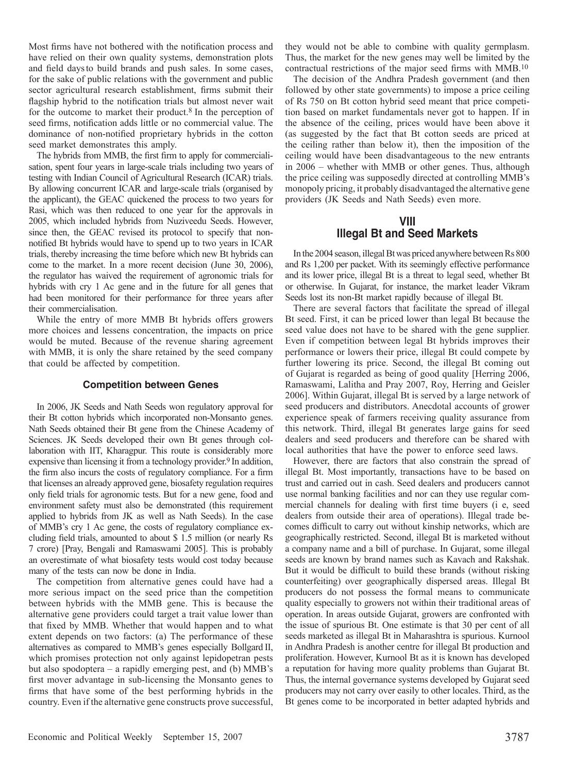Most firms have not bothered with the notification process and have relied on their own quality systems, demonstration plots and field daysto build brands and push sales. In some cases, for the sake of public relations with the government and public sector agricultural research establishment, firms submit their flagship hybrid to the notification trials but almost never wait for the outcome to market their product.8 In the perception of seed firms, notification adds little or no commercial value. The dominance of non-notified proprietary hybrids in the cotton seed market demonstrates this amply.

The hybrids from MMB, the first firm to apply for commercialisation, spent four years in large-scale trials including two years of testing with Indian Council of Agricultural Research (ICAR) trials. By allowing concurrent ICAR and large-scale trials (organised by the applicant), the GEAC quickened the process to two years for Rasi, which was then reduced to one year for the approvals in 2005, which included hybrids from Nuziveedu Seeds. However, since then, the GEAC revised its protocol to specify that nonnotified Bt hybrids would have to spend up to two years in ICAR trials, thereby increasing the time before which new Bt hybrids can come to the market. In a more recent decision (June 30, 2006), the regulator has waived the requirement of agronomic trials for hybrids with cry 1 Ac gene and in the future for all genes that had been monitored for their performance for three years after their commercialisation.

While the entry of more MMB Bt hybrids offers growers more choices and lessens concentration, the impacts on price would be muted. Because of the revenue sharing agreement with MMB, it is only the share retained by the seed company that could be affected by competition.

#### **Competition between Genes**

In 2006, JK Seeds and Nath Seeds won regulatory approval for their Bt cotton hybrids which incorporated non-Monsanto genes. Nath Seeds obtained their Bt gene from the Chinese Academy of Sciences. JK Seeds developed their own Bt genes through collaboration with IIT, Kharagpur. This route is considerably more expensive than licensing it from a technology provider.<sup>9</sup> In addition, the firm also incurs the costs of regulatory compliance. For a firm that licenses an already approved gene, biosafety regulation requires only field trials for agronomic tests. But for a new gene, food and environment safety must also be demonstrated (this requirement applied to hybrids from JK as well as Nath Seeds). In the case of MMB's cry 1 Ac gene, the costs of regulatory compliance excluding field trials, amounted to about \$ 1.5 million (or nearly Rs 7 crore) [Pray, Bengali and Ramaswami 2005]. This is probably an overestimate of what biosafety tests would cost today because many of the tests can now be done in India.

The competition from alternative genes could have had a more serious impact on the seed price than the competition between hybrids with the MMB gene. This is because the alternative gene providers could target a trait value lower than that fixed by MMB. Whether that would happen and to what extent depends on two factors: (a) The performance of these alternatives as compared to MMB's genes especially Bollgard II, which promises protection not only against lepidopetran pests but also spodoptera – a rapidly emerging pest, and (b) MMB's first mover advantage in sub-licensing the Monsanto genes to firms that have some of the best performing hybrids in the country. Even if the alternative gene constructs prove successful,

they would not be able to combine with quality germplasm. Thus, the market for the new genes may well be limited by the contractual restrictions of the major seed firms with MMB.10

The decision of the Andhra Pradesh government (and then followed by other state governments) to impose a price ceiling of Rs 750 on Bt cotton hybrid seed meant that price competition based on market fundamentals never got to happen. If in the absence of the ceiling, prices would have been above it (as suggested by the fact that Bt cotton seeds are priced at the ceiling rather than below it), then the imposition of the ceiling would have been disadvantageous to the new entrants in 2006 – whether with MMB or other genes. Thus, although the price ceiling was supposedly directed at controlling MMB's monopoly pricing, it probably disadvantaged the alternative gene providers (JK Seeds and Nath Seeds) even more.

## **VIII Illegal Bt and Seed Markets**

In the 2004 season, illegal Bt was priced anywhere between Rs 800 and Rs 1,200 per packet. With its seemingly effective performance and its lower price, illegal Bt is a threat to legal seed, whether Bt or otherwise. In Gujarat, for instance, the market leader Vikram Seeds lost its non-Bt market rapidly because of illegal Bt.

There are several factors that facilitate the spread of illegal Bt seed. First, it can be priced lower than legal Bt because the seed value does not have to be shared with the gene supplier. Even if competition between legal Bt hybrids improves their performance or lowers their price, illegal Bt could compete by further lowering its price. Second, the illegal Bt coming out of Gujarat is regarded as being of good quality [Herring 2006, Ramaswami, Lalitha and Pray 2007, Roy, Herring and Geisler 2006]. Within Gujarat, illegal Bt is served by a large network of seed producers and distributors. Anecdotal accounts of grower experience speak of farmers receiving quality assurance from this network. Third, illegal Bt generates large gains for seed dealers and seed producers and therefore can be shared with local authorities that have the power to enforce seed laws.

However, there are factors that also constrain the spread of illegal Bt. Most importantly, transactions have to be based on trust and carried out in cash. Seed dealers and producers cannot use normal banking facilities and nor can they use regular commercial channels for dealing with first time buyers (i e, seed dealers from outside their area of operations). Illegal trade becomes difficult to carry out without kinship networks, which are geographically restricted. Second, illegal Bt is marketed without a company name and a bill of purchase. In Gujarat, some illegal seeds are known by brand names such as Kavach and Rakshak. But it would be difficult to build these brands (without risking counterfeiting) over geographically dispersed areas. Illegal Bt producers do not possess the formal means to communicate quality especially to growers not within their traditional areas of operation. In areas outside Gujarat, growers are confronted with the issue of spurious Bt. One estimate is that 30 per cent of all seeds marketed as illegal Bt in Maharashtra is spurious. Kurnool in Andhra Pradesh is another centre for illegal Bt production and proliferation. However, Kurnool Bt as it is known has developed a reputation for having more quality problems than Gujarat Bt. Thus, the internal governance systems developed by Gujarat seed producers may not carry over easily to other locales. Third, as the Bt genes come to be incorporated in better adapted hybrids and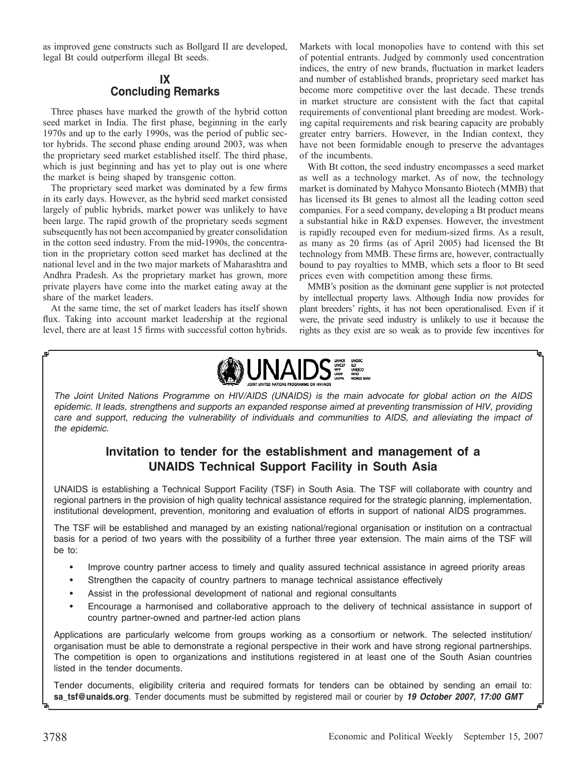as improved gene constructs such as Bollgard II are developed, legal Bt could outperform illegal Bt seeds.

# **IX Concluding Remarks**

Three phases have marked the growth of the hybrid cotton seed market in India. The first phase, beginning in the early 1970s and up to the early 1990s, was the period of public sector hybrids. The second phase ending around 2003, was when the proprietary seed market established itself. The third phase, which is just beginning and has yet to play out is one where the market is being shaped by transgenic cotton.

The proprietary seed market was dominated by a few firms in its early days. However, as the hybrid seed market consisted largely of public hybrids, market power was unlikely to have been large. The rapid growth of the proprietary seeds segment subsequently has not been accompanied by greater consolidation in the cotton seed industry. From the mid-1990s, the concentration in the proprietary cotton seed market has declined at the national level and in the two major markets of Maharashtra and Andhra Pradesh. As the proprietary market has grown, more private players have come into the market eating away at the share of the market leaders.

At the same time, the set of market leaders has itself shown flux. Taking into account market leadership at the regional level, there are at least 15 firms with successful cotton hybrids. Markets with local monopolies have to contend with this set of potential entrants. Judged by commonly used concentration indices, the entry of new brands, fluctuation in market leaders and number of established brands, proprietary seed market has become more competitive over the last decade. These trends in market structure are consistent with the fact that capital requirements of conventional plant breeding are modest. Working capital requirements and risk bearing capacity are probably greater entry barriers. However, in the Indian context, they have not been formidable enough to preserve the advantages of the incumbents.

With Bt cotton, the seed industry encompasses a seed market as well as a technology market. As of now, the technology market is dominated by Mahyco Monsanto Biotech (MMB) that has licensed its Bt genes to almost all the leading cotton seed companies. For a seed company, developing a Bt product means a substantial hike in R&D expenses. However, the investment is rapidly recouped even for medium-sized firms. As a result, as many as 20 firms (as of April 2005) had licensed the Bt technology from MMB. These firms are, however, contractually bound to pay royalties to MMB, which sets a floor to Bt seed prices even with competition among these firms.

MMB's position as the dominant gene supplier is not protected by intellectual property laws. Although India now provides for plant breeders' rights, it has not been operationalised. Even if it were, the private seed industry is unlikely to use it because the rights as they exist are so weak as to provide few incentives for



The Joint United Nations Programme on HIV/AIDS (UNAIDS) is the main advocate for global action on the AIDS epidemic. It leads, strengthens and supports an expanded response aimed at preventing transmission of HIV, providing care and support, reducing the vulnerability of individuals and communities to AIDS, and alleviating the impact of the epidemic.

# **Invitation to tender for the establishment and management of a UNAIDS Technical Support Facility in South Asia**

UNAIDS is establishing a Technical Support Facility (TSF) in South Asia. The TSF will collaborate with country and regional partners in the provision of high quality technical assistance required for the strategic planning, implementation, institutional development, prevention, monitoring and evaluation of efforts in support of national AIDS programmes.

The TSF will be established and managed by an existing national/regional organisation or institution on a contractual basis for a period of two years with the possibility of a further three year extension. The main aims of the TSF will be to:

- Improve country partner access to timely and quality assured technical assistance in agreed priority areas
- Strengthen the capacity of country partners to manage technical assistance effectively
- Assist in the professional development of national and regional consultants
- Encourage a harmonised and collaborative approach to the delivery of technical assistance in support of country partner-owned and partner-led action plans

Applications are particularly welcome from groups working as a consortium or network. The selected institution/ organisation must be able to demonstrate a regional perspective in their work and have strong regional partnerships. The competition is open to organizations and institutions registered in at least one of the South Asian countries listed in the tender documents.

Tender documents, eligibility criteria and required formats for tenders can be obtained by sending an email to: **sa\_tsf@unaids.org**. Tender documents must be submitted by registered mail or courier by *19 October 2007, 17:00 GMT*